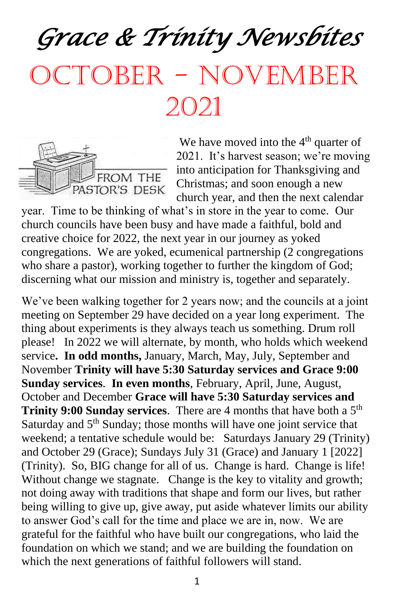*Grace & Trinity Newsbites*  October - November 2021



We have moved into the  $4<sup>th</sup>$  quarter of 2021. It's harvest season; we're moving into anticipation for Thanksgiving and Christmas; and soon enough a new church year, and then the next calendar

year. Time to be thinking of what's in store in the year to come. Our church councils have been busy and have made a faithful, bold and creative choice for 2022, the next year in our journey as yoked congregations. We are yoked, ecumenical partnership (2 congregations who share a pastor), working together to further the kingdom of God; discerning what our mission and ministry is, together and separately.

We've been walking together for 2 years now; and the councils at a joint meeting on September 29 have decided on a year long experiment. The thing about experiments is they always teach us something. Drum roll please! In 2022 we will alternate, by month, who holds which weekend service**. In odd months,** January, March, May, July, September and November **Trinity will have 5:30 Saturday services and Grace 9:00 Sunday services**. **In even months**, February, April, June, August, October and December **Grace will have 5:30 Saturday services and Trinity 9:00 Sunday services**. There are 4 months that have both a 5<sup>th</sup> Saturday and  $5<sup>th</sup>$  Sunday; those months will have one joint service that weekend; a tentative schedule would be: Saturdays January 29 (Trinity) and October 29 (Grace); Sundays July 31 (Grace) and January 1 [2022] (Trinity). So, BIG change for all of us. Change is hard. Change is life! Without change we stagnate. Change is the key to vitality and growth; not doing away with traditions that shape and form our lives, but rather being willing to give up, give away, put aside whatever limits our ability to answer God's call for the time and place we are in, now. We are grateful for the faithful who have built our congregations, who laid the foundation on which we stand; and we are building the foundation on which the next generations of faithful followers will stand.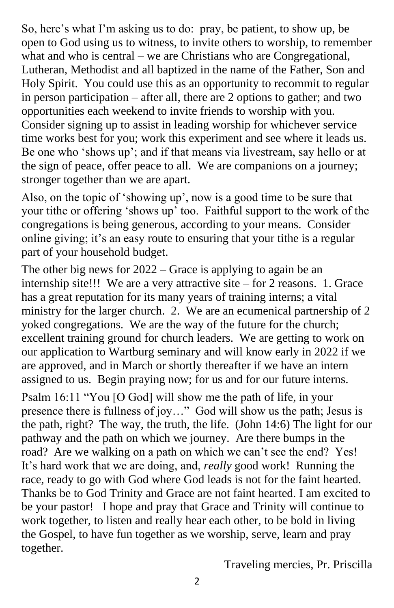So, here's what I'm asking us to do: pray, be patient, to show up, be open to God using us to witness, to invite others to worship, to remember what and who is central – we are Christians who are Congregational, Lutheran, Methodist and all baptized in the name of the Father, Son and Holy Spirit. You could use this as an opportunity to recommit to regular in person participation – after all, there are 2 options to gather; and two opportunities each weekend to invite friends to worship with you. Consider signing up to assist in leading worship for whichever service time works best for you; work this experiment and see where it leads us. Be one who 'shows up'; and if that means via livestream, say hello or at the sign of peace, offer peace to all. We are companions on a journey; stronger together than we are apart.

Also, on the topic of 'showing up', now is a good time to be sure that your tithe or offering 'shows up' too. Faithful support to the work of the congregations is being generous, according to your means. Consider online giving; it's an easy route to ensuring that your tithe is a regular part of your household budget.

The other big news for 2022 – Grace is applying to again be an internship site!!! We are a very attractive site – for 2 reasons. 1. Grace has a great reputation for its many years of training interns; a vital ministry for the larger church. 2. We are an ecumenical partnership of 2 yoked congregations. We are the way of the future for the church; excellent training ground for church leaders. We are getting to work on our application to Wartburg seminary and will know early in 2022 if we are approved, and in March or shortly thereafter if we have an intern assigned to us. Begin praying now; for us and for our future interns.

Psalm 16:11 "You [O God] will show me the path of life, in your presence there is fullness of joy…" God will show us the path; Jesus is the path, right? The way, the truth, the life. (John 14:6) The light for our pathway and the path on which we journey. Are there bumps in the road? Are we walking on a path on which we can't see the end? Yes! It's hard work that we are doing, and, *really* good work! Running the race, ready to go with God where God leads is not for the faint hearted. Thanks be to God Trinity and Grace are not faint hearted. I am excited to be your pastor! I hope and pray that Grace and Trinity will continue to work together, to listen and really hear each other, to be bold in living the Gospel, to have fun together as we worship, serve, learn and pray together.

Traveling mercies, Pr. Priscilla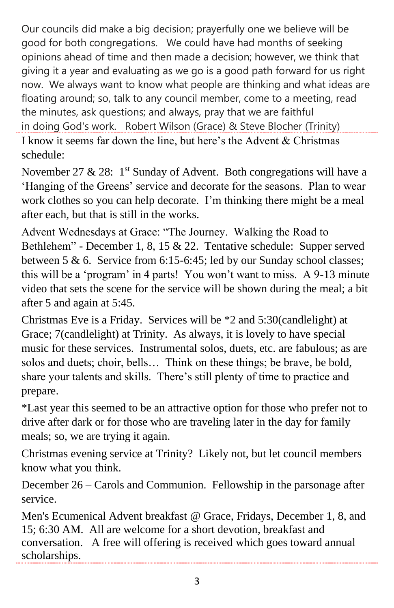Our councils did make a big decision; prayerfully one we believe will be good for both congregations. We could have had months of seeking opinions ahead of time and then made a decision; however, we think that giving it a year and evaluating as we go is a good path forward for us right now. We always want to know what people are thinking and what ideas are floating around; so, talk to any council member, come to a meeting, read the minutes, ask questions; and always, pray that we are faithful in doing God's work. Robert Wilson (Grace) & Steve Blocher (Trinity) I know it seems far down the line, but here's the Advent & Christmas

schedule:

November 27 & 28:  $1^{st}$  Sunday of Advent. Both congregations will have a 'Hanging of the Greens' service and decorate for the seasons. Plan to wear work clothes so you can help decorate. I'm thinking there might be a meal after each, but that is still in the works.

Advent Wednesdays at Grace: "The Journey. Walking the Road to Bethlehem" - December 1, 8, 15 & 22. Tentative schedule: Supper served between 5 & 6. Service from 6:15-6:45; led by our Sunday school classes; this will be a 'program' in 4 parts! You won't want to miss. A 9-13 minute video that sets the scene for the service will be shown during the meal; a bit after 5 and again at 5:45.

Christmas Eve is a Friday. Services will be \*2 and 5:30(candlelight) at Grace; 7(candlelight) at Trinity. As always, it is lovely to have special music for these services. Instrumental solos, duets, etc. are fabulous; as are solos and duets; choir, bells… Think on these things; be brave, be bold, share your talents and skills. There's still plenty of time to practice and prepare.

\*Last year this seemed to be an attractive option for those who prefer not to drive after dark or for those who are traveling later in the day for family meals; so, we are trying it again.

Christmas evening service at Trinity? Likely not, but let council members know what you think.

December 26 – Carols and Communion. Fellowship in the parsonage after service.

Men's Ecumenical Advent breakfast @ Grace, Fridays, December 1, 8, and 15; 6:30 AM. All are welcome for a short devotion, breakfast and conversation. A free will offering is received which goes toward annual scholarships.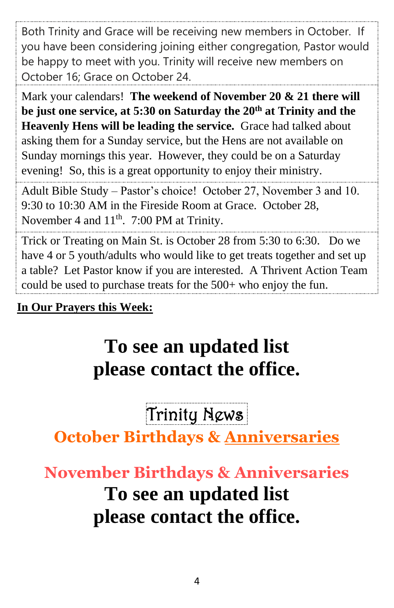Both Trinity and Grace will be receiving new members in October. If you have been considering joining either congregation, Pastor would be happy to meet with you. Trinity will receive new members on October 16; Grace on October 24.

Mark your calendars! **The weekend of November 20 & 21 there will be just one service, at 5:30 on Saturday the 20th at Trinity and the Heavenly Hens will be leading the service.** Grace had talked about asking them for a Sunday service, but the Hens are not available on Sunday mornings this year. However, they could be on a Saturday evening! So, this is a great opportunity to enjoy their ministry.

Adult Bible Study – Pastor's choice! October 27, November 3 and 10. 9:30 to 10:30 AM in the Fireside Room at Grace. October 28, November 4 and  $11<sup>th</sup>$ . 7:00 PM at Trinity.

Trick or Treating on Main St. is October 28 from 5:30 to 6:30. Do we have 4 or 5 youth/adults who would like to get treats together and set up a table? Let Pastor know if you are interested. A Thrivent Action Team could be used to purchase treats for the 500+ who enjoy the fun.

**In Our Prayers this Week:**

# **To see an updated list please contact the office.**

Trinity News.

**October Birthdays & Anniversaries**

# **November Birthdays & Anniversaries To see an updated list please contact the office.**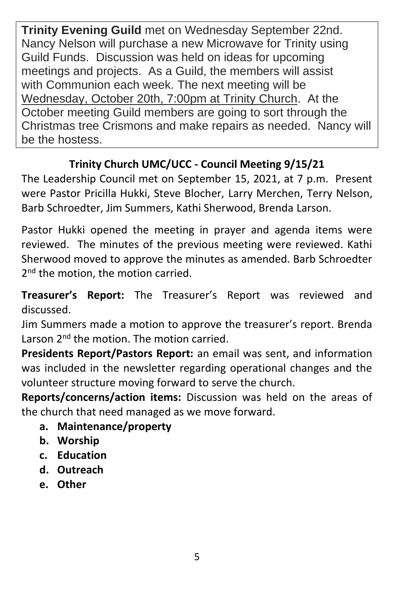**Trinity Evening Guild** met on Wednesday September 22nd. Nancy Nelson will purchase a new Microwave for Trinity using Guild Funds. Discussion was held on ideas for upcoming meetings and projects. As a Guild, the members will assist with Communion each week. The next meeting will be Wednesday, October 20th, 7:00pm at Trinity Church. At the October meeting Guild members are going to sort through the Christmas tree Crismons and make repairs as needed. Nancy will be the hostess.

## **Trinity Church UMC/UCC - Council Meeting 9/15/21**

The Leadership Council met on September 15, 2021, at 7 p.m. Present were Pastor Pricilla Hukki, Steve Blocher, Larry Merchen, Terry Nelson, Barb Schroedter, Jim Summers, Kathi Sherwood, Brenda Larson.

Pastor Hukki opened the meeting in prayer and agenda items were reviewed. The minutes of the previous meeting were reviewed. Kathi Sherwood moved to approve the minutes as amended. Barb Schroedter 2<sup>nd</sup> the motion, the motion carried.

**Treasurer's Report:** The Treasurer's Report was reviewed and discussed.

Jim Summers made a motion to approve the treasurer's report. Brenda Larson 2<sup>nd</sup> the motion. The motion carried.

**Presidents Report/Pastors Report:** an email was sent, and information was included in the newsletter regarding operational changes and the volunteer structure moving forward to serve the church.

**Reports/concerns/action items:** Discussion was held on the areas of the church that need managed as we move forward.

- **a. Maintenance/property**
- **b. Worship**
- **c. Education**
- **d. Outreach**
- **e. Other**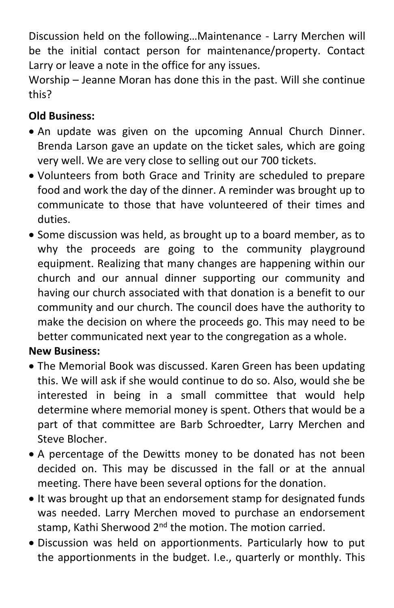Discussion held on the following…Maintenance - Larry Merchen will be the initial contact person for maintenance/property. Contact Larry or leave a note in the office for any issues.

Worship – Jeanne Moran has done this in the past. Will she continue this?

### **Old Business:**

- An update was given on the upcoming Annual Church Dinner. Brenda Larson gave an update on the ticket sales, which are going very well. We are very close to selling out our 700 tickets.
- Volunteers from both Grace and Trinity are scheduled to prepare food and work the day of the dinner. A reminder was brought up to communicate to those that have volunteered of their times and duties.
- Some discussion was held, as brought up to a board member, as to why the proceeds are going to the community playground equipment. Realizing that many changes are happening within our church and our annual dinner supporting our community and having our church associated with that donation is a benefit to our community and our church. The council does have the authority to make the decision on where the proceeds go. This may need to be better communicated next year to the congregation as a whole.

### **New Business:**

- The Memorial Book was discussed. Karen Green has been updating this. We will ask if she would continue to do so. Also, would she be interested in being in a small committee that would help determine where memorial money is spent. Others that would be a part of that committee are Barb Schroedter, Larry Merchen and Steve Blocher.
- A percentage of the Dewitts money to be donated has not been decided on. This may be discussed in the fall or at the annual meeting. There have been several options for the donation.
- It was brought up that an endorsement stamp for designated funds was needed. Larry Merchen moved to purchase an endorsement stamp, Kathi Sherwood 2<sup>nd</sup> the motion. The motion carried.
- Discussion was held on apportionments. Particularly how to put the apportionments in the budget. I.e., quarterly or monthly. This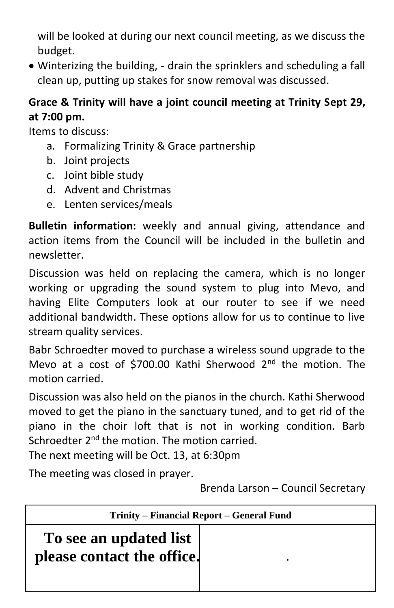will be looked at during our next council meeting, as we discuss the budget.

• Winterizing the building, - drain the sprinklers and scheduling a fall clean up, putting up stakes for snow removal was discussed.

### **Grace & Trinity will have a joint council meeting at Trinity Sept 29, at 7:00 pm.**

Items to discuss:

- a. Formalizing Trinity & Grace partnership
- b. Joint projects
- c. Joint bible study
- d. Advent and Christmas
- e. Lenten services/meals

**Bulletin information:** weekly and annual giving, attendance and action items from the Council will be included in the bulletin and newsletter.

Discussion was held on replacing the camera, which is no longer working or upgrading the sound system to plug into Mevo, and having Elite Computers look at our router to see if we need additional bandwidth. These options allow for us to continue to live stream quality services.

Babr Schroedter moved to purchase a wireless sound upgrade to the Mevo at a cost of \$700.00 Kathi Sherwood 2<sup>nd</sup> the motion. The motion carried.

Discussion was also held on the pianos in the church. Kathi Sherwood moved to get the piano in the sanctuary tuned, and to get rid of the piano in the choir loft that is not in working condition. Barb Schroedter 2<sup>nd</sup> the motion. The motion carried.

The next meeting will be Oct. 13, at 6:30pm

The meeting was closed in prayer.

**.**

Brenda Larson – Council Secretary

| Trinity – Financial Report – General Fund            |  |
|------------------------------------------------------|--|
| To see an updated list<br>please contact the office. |  |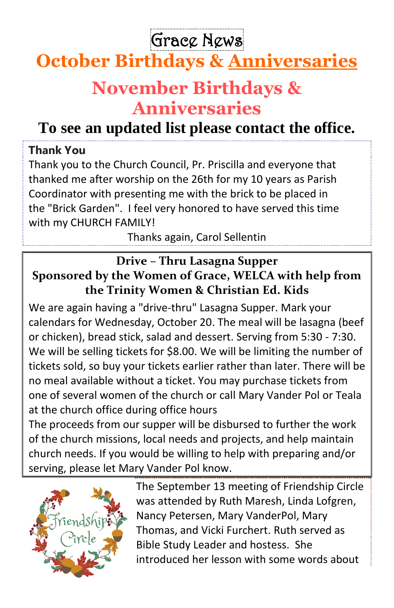Grace News

# **October Birthdays & Anniversaries**

## **November Birthdays & Anniversaries**

## **To see an updated list please contact the office.**

### **Thank You**

Thank you to the Church Council, Pr. Priscilla and everyone that thanked me after worship on the 26th for my 10 years as Parish Coordinator with presenting me with the brick to be placed in the "Brick Garden". I feel very honored to have served this time with my CHURCH FAMILY!

Thanks again, Carol Sellentin

## **Drive – Thru Lasagna Supper Sponsored by the Women of Grace, WELCA with help from the Trinity Women & Christian Ed. Kids**

We are again having a "drive-thru" Lasagna Supper. Mark your calendars for Wednesday, October 20. The meal will be lasagna (beef or chicken), bread stick, salad and dessert. Serving from 5:30 - 7:30. We will be selling tickets for \$8.00. We will be limiting the number of tickets sold, so buy your tickets earlier rather than later. There will be no meal available without a ticket. You may purchase tickets from one of several women of the church or call Mary Vander Pol or Teala at the church office during office hours

The proceeds from our supper will be disbursed to further the work of the church missions, local needs and projects, and help maintain church needs. If you would be willing to help with preparing and/or serving, please let Mary Vander Pol know.



The September 13 meeting of Friendship Circle was attended by Ruth Maresh, Linda Lofgren, Nancy Petersen, Mary VanderPol, Mary Thomas, and Vicki Furchert. Ruth served as Bible Study Leader and hostess. She introduced her lesson with some words about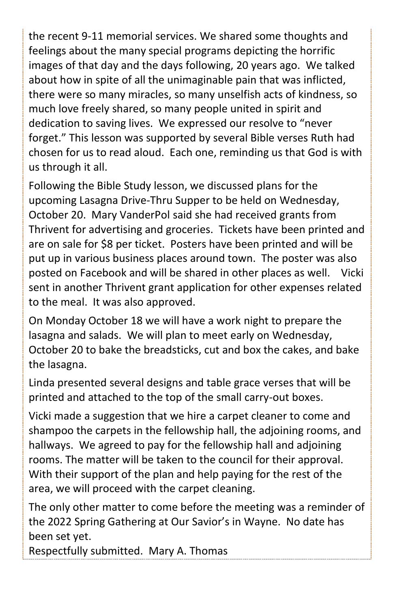the recent 9-11 memorial services. We shared some thoughts and feelings about the many special programs depicting the horrific images of that day and the days following, 20 years ago. We talked about how in spite of all the unimaginable pain that was inflicted, there were so many miracles, so many unselfish acts of kindness, so much love freely shared, so many people united in spirit and dedication to saving lives. We expressed our resolve to "never forget." This lesson was supported by several Bible verses Ruth had chosen for us to read aloud. Each one, reminding us that God is with us through it all.

Following the Bible Study lesson, we discussed plans for the upcoming Lasagna Drive-Thru Supper to be held on Wednesday, October 20. Mary VanderPol said she had received grants from Thrivent for advertising and groceries. Tickets have been printed and are on sale for \$8 per ticket. Posters have been printed and will be put up in various business places around town. The poster was also posted on Facebook and will be shared in other places as well. Vicki sent in another Thrivent grant application for other expenses related to the meal. It was also approved.

On Monday October 18 we will have a work night to prepare the lasagna and salads. We will plan to meet early on Wednesday, October 20 to bake the breadsticks, cut and box the cakes, and bake the lasagna.

Linda presented several designs and table grace verses that will be printed and attached to the top of the small carry-out boxes.

Vicki made a suggestion that we hire a carpet cleaner to come and shampoo the carpets in the fellowship hall, the adjoining rooms, and hallways. We agreed to pay for the fellowship hall and adjoining rooms. The matter will be taken to the council for their approval. With their support of the plan and help paying for the rest of the area, we will proceed with the carpet cleaning.

The only other matter to come before the meeting was a reminder of the 2022 Spring Gathering at Our Savior's in Wayne. No date has been set yet.

Respectfully submitted. Mary A. Thomas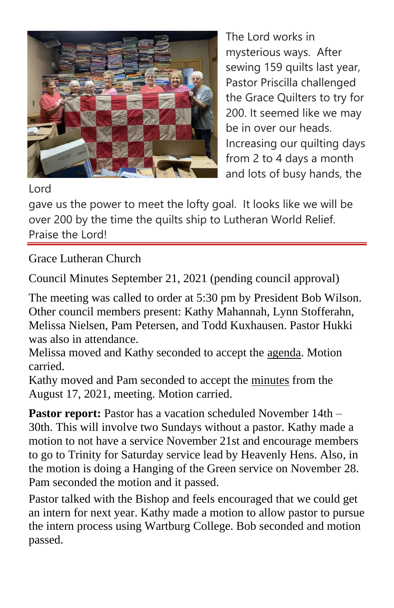

The Lord works in mysterious ways. After sewing 159 quilts last year, Pastor Priscilla challenged the Grace Quilters to try for 200. It seemed like we may be in over our heads. Increasing our quilting days from 2 to 4 days a month and lots of busy hands, the

#### Lord

gave us the power to meet the lofty goal. It looks like we will be over 200 by the time the quilts ship to Lutheran World Relief. Praise the Lord!

Grace Lutheran Church

Council Minutes September 21, 2021 (pending council approval)

The meeting was called to order at 5:30 pm by President Bob Wilson. Other council members present: Kathy Mahannah, Lynn Stofferahn, Melissa Nielsen, Pam Petersen, and Todd Kuxhausen. Pastor Hukki was also in attendance.

Melissa moved and Kathy seconded to accept the agenda. Motion carried.

Kathy moved and Pam seconded to accept the minutes from the August 17, 2021, meeting. Motion carried.

**Pastor report:** Pastor has a vacation scheduled November 14th – 30th. This will involve two Sundays without a pastor. Kathy made a motion to not have a service November 21st and encourage members to go to Trinity for Saturday service lead by Heavenly Hens. Also, in the motion is doing a Hanging of the Green service on November 28. Pam seconded the motion and it passed.

Pastor talked with the Bishop and feels encouraged that we could get an intern for next year. Kathy made a motion to allow pastor to pursue the intern process using Wartburg College. Bob seconded and motion passed.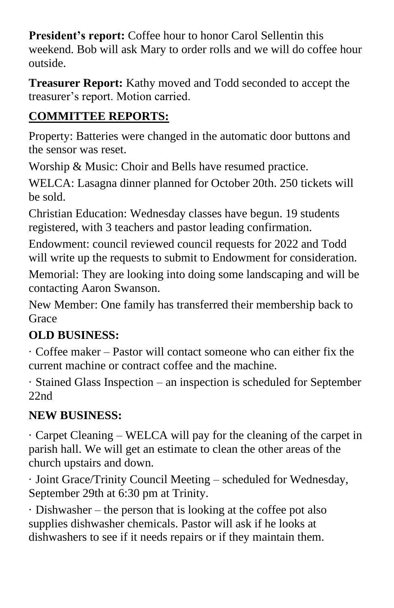**President's report:** Coffee hour to honor Carol Sellentin this weekend. Bob will ask Mary to order rolls and we will do coffee hour outside.

**Treasurer Report:** Kathy moved and Todd seconded to accept the treasurer's report. Motion carried.

## **COMMITTEE REPORTS:**

Property: Batteries were changed in the automatic door buttons and the sensor was reset.

Worship & Music: Choir and Bells have resumed practice.

WELCA: Lasagna dinner planned for October 20th. 250 tickets will be sold.

Christian Education: Wednesday classes have begun. 19 students registered, with 3 teachers and pastor leading confirmation.

Endowment: council reviewed council requests for 2022 and Todd will write up the requests to submit to Endowment for consideration.

Memorial: They are looking into doing some landscaping and will be contacting Aaron Swanson.

New Member: One family has transferred their membership back to Grace

## **OLD BUSINESS:**

· Coffee maker – Pastor will contact someone who can either fix the current machine or contract coffee and the machine.

· Stained Glass Inspection – an inspection is scheduled for September 22nd

## **NEW BUSINESS:**

· Carpet Cleaning – WELCA will pay for the cleaning of the carpet in parish hall. We will get an estimate to clean the other areas of the church upstairs and down.

· Joint Grace/Trinity Council Meeting – scheduled for Wednesday, September 29th at 6:30 pm at Trinity.

· Dishwasher – the person that is looking at the coffee pot also supplies dishwasher chemicals. Pastor will ask if he looks at dishwashers to see if it needs repairs or if they maintain them.